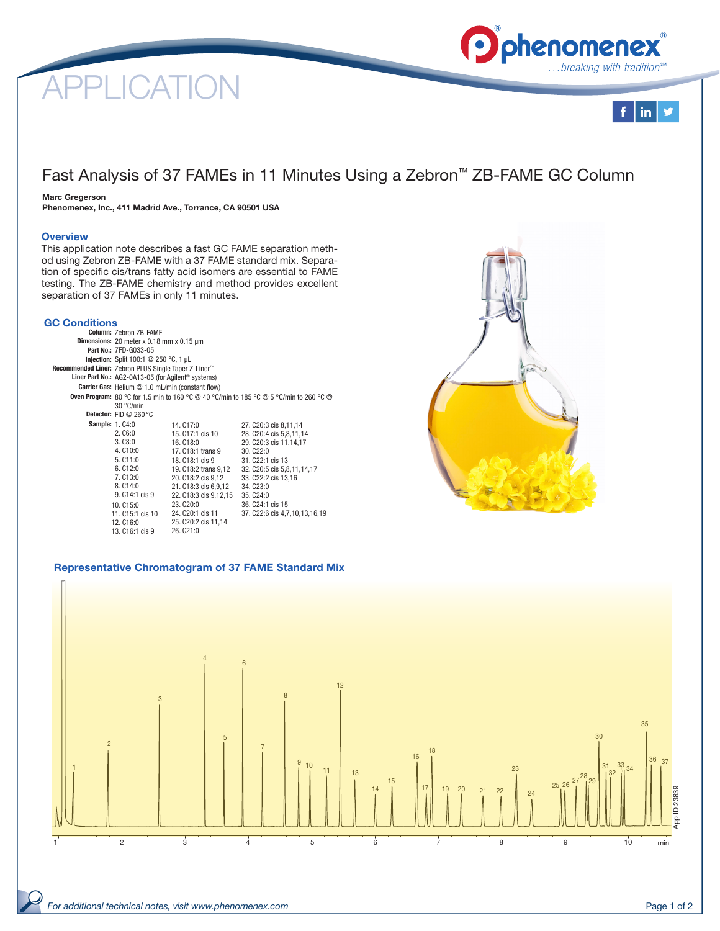# CATI





# Fast Analysis of 37 FAMEs in 11 Minutes Using a Zebron™ ZB-FAME GC Column

# Marc Gregerson

Phenomenex, Inc., 411 Madrid Ave., Torrance, CA 90501 USA

# **Overview**

This application note describes a fast GC FAME separation method using Zebron ZB-FAME with a 37 FAME standard mix. Separation of specific cis/trans fatty acid isomers are essential to FAME testing. The ZB-FAME chemistry and method provides excellent separation of 37 FAMEs in only 11 minutes.

# GC Conditions

| Column: Zebron ZB-FAME                                                                        |                       |                               |  |  |  |
|-----------------------------------------------------------------------------------------------|-----------------------|-------------------------------|--|--|--|
| <b>Dimensions:</b> 20 meter $x$ 0.18 mm $x$ 0.15 $\mu$ m                                      |                       |                               |  |  |  |
| Part No.: 7FD-G033-05                                                                         |                       |                               |  |  |  |
| Injection: Split 100:1 @ 250 °C, 1 µL                                                         |                       |                               |  |  |  |
| Recommended Liner: Zebron PLUS Single Taper Z-Liner™                                          |                       |                               |  |  |  |
| Liner Part No.: AG2-0A13-05 (for Agilent <sup>®</sup> systems)                                |                       |                               |  |  |  |
| Carrier Gas: Helium @ 1.0 mL/min (constant flow)                                              |                       |                               |  |  |  |
| <b>Oven Program:</b> 80 °C for 1.5 min to 160 °C @ 40 °C/min to 185 °C @ 5 °C/min to 260 °C @ |                       |                               |  |  |  |
| 30 °C/min                                                                                     |                       |                               |  |  |  |
| Detector: FID @ 260 $\degree$ C                                                               |                       |                               |  |  |  |
| <b>Sample: 1, C4:0</b>                                                                        | 14. C17:0             | 27. C20:3 cis 8,11,14         |  |  |  |
| 2. C6:0                                                                                       | 15, C17:1 cis 10      | 28. C20:4 cis 5,8,11,14       |  |  |  |
| 3. C8:0                                                                                       | 16. C18:0             | 29. C20:3 cis 11,14,17        |  |  |  |
| 4. C10:0                                                                                      | 17, C18:1 trans 9     | 30. C22:0                     |  |  |  |
| 5. C11:0                                                                                      | 18, C18:1 cis 9       | 31. C <sub>22</sub> :1 cis 13 |  |  |  |
| 6. C12:0                                                                                      | 19. C18:2 trans 9,12  | 32. C20:5 cis 5,8,11,14,17    |  |  |  |
| 7. C13:0                                                                                      | 20. C18:2 cis 9,12    | 33. C22:2 cis 13,16           |  |  |  |
| 8. C14:0                                                                                      | 21. C18:3 cis 6,9,12  | 34. C <sub>23:0</sub>         |  |  |  |
| 9. C14:1 cis 9                                                                                | 22. C18:3 cis 9,12,15 | 35. C <sub>24:0</sub>         |  |  |  |
| 10. C15:0                                                                                     | 23. C <sub>20:0</sub> | 36, C24:1 cis 15              |  |  |  |
| 11. C15:1 cis 10                                                                              | 24. C20:1 cis 11      | 37. C22:6 cis 4,7,10,13,16,19 |  |  |  |
| 12. C16:0                                                                                     | 25. C20:2 cis 11,14   |                               |  |  |  |
| 13. C16:1 cis 9                                                                               | 26. C21:0             |                               |  |  |  |



# Representative Chromatogram of 37 FAME Standard Mix